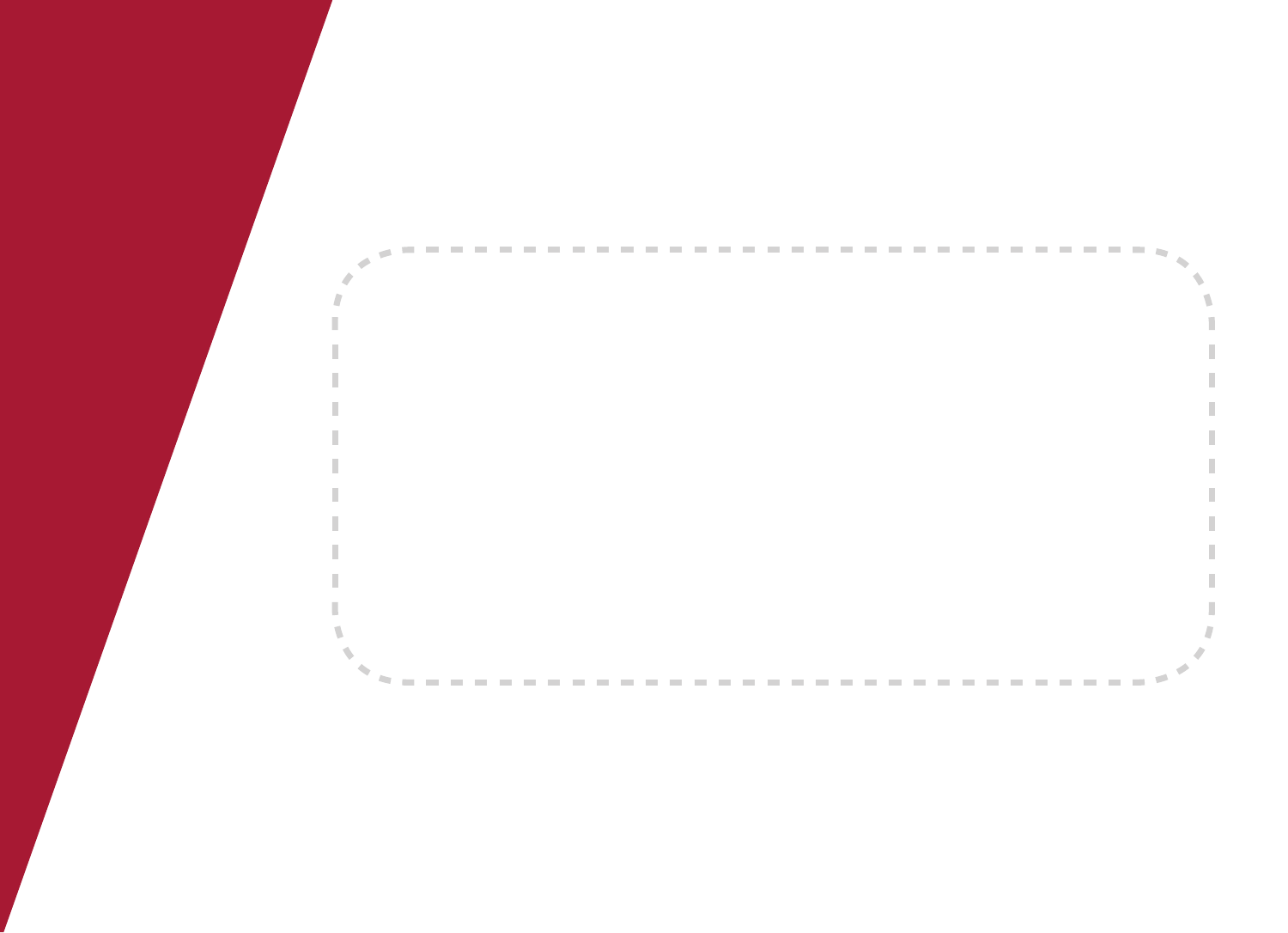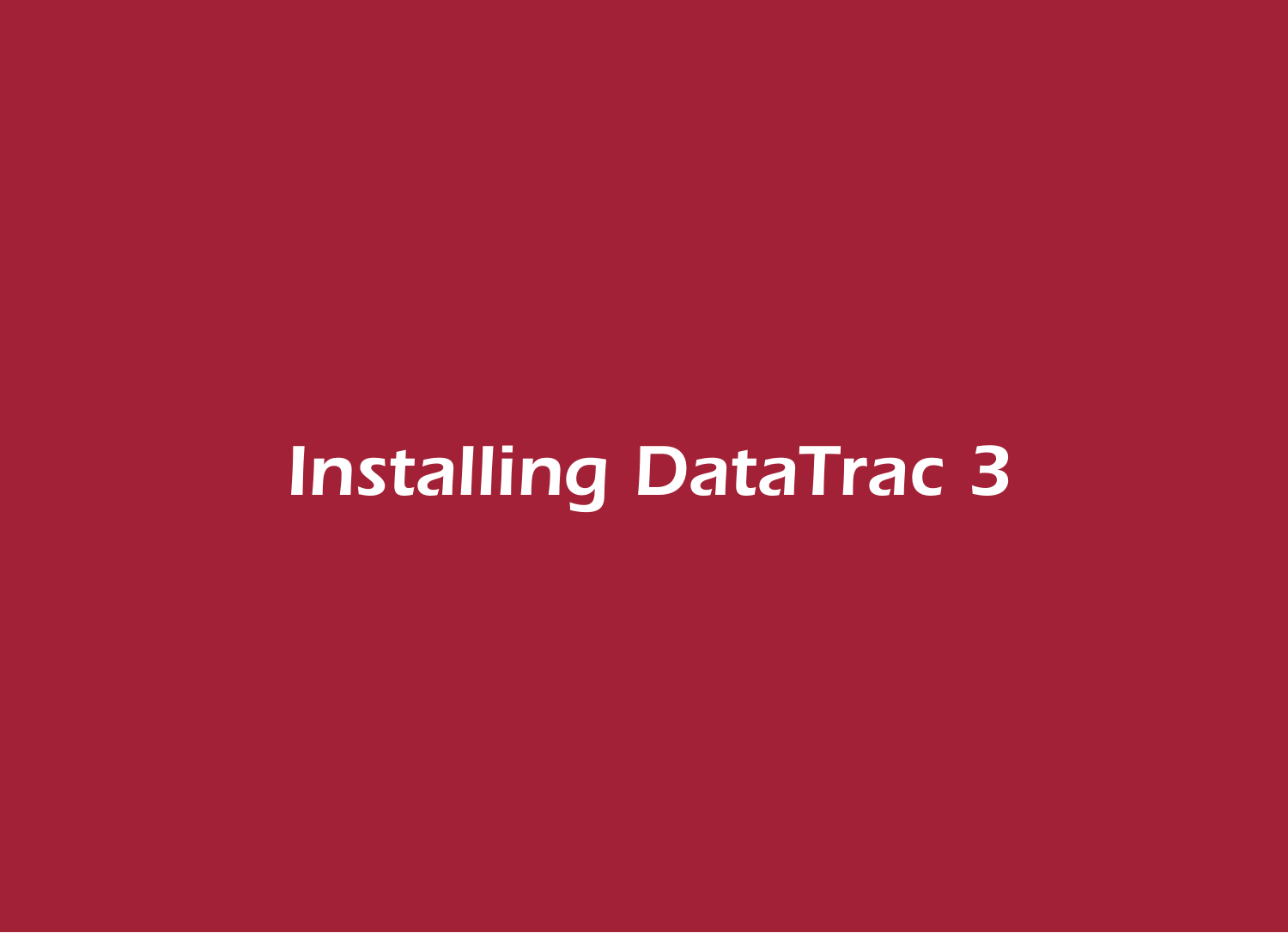# *Installing DataTrac 3*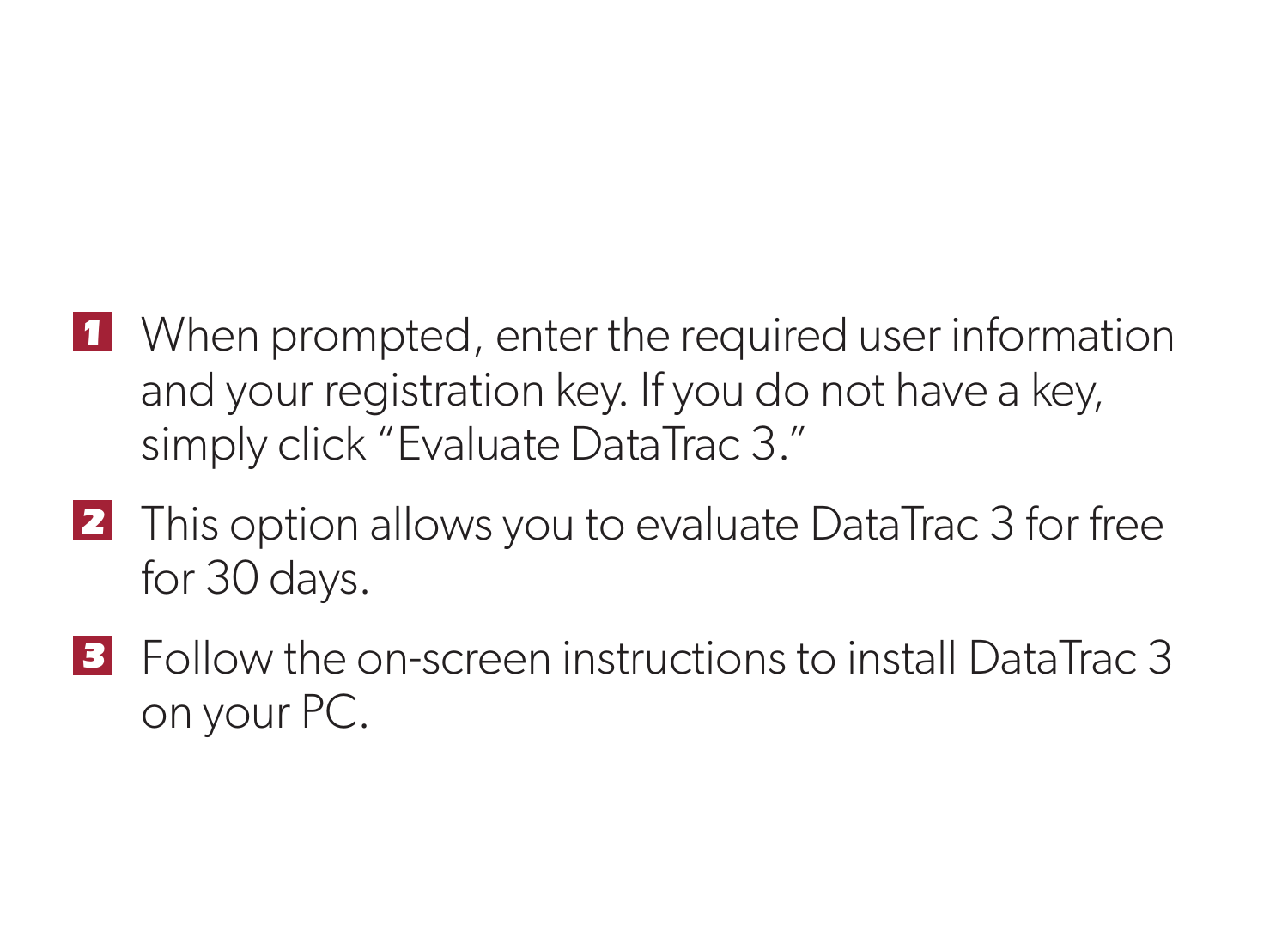- *1* When prompted, enter the required user information and your registration key. If you do not have a key, simply click "Evaluate DataTrac 3."
- **2** This option allows you to evaluate DataTrac 3 for free for 30 days.
- *3* Follow the on-screen instructions to install DataTrac 3 on your PC.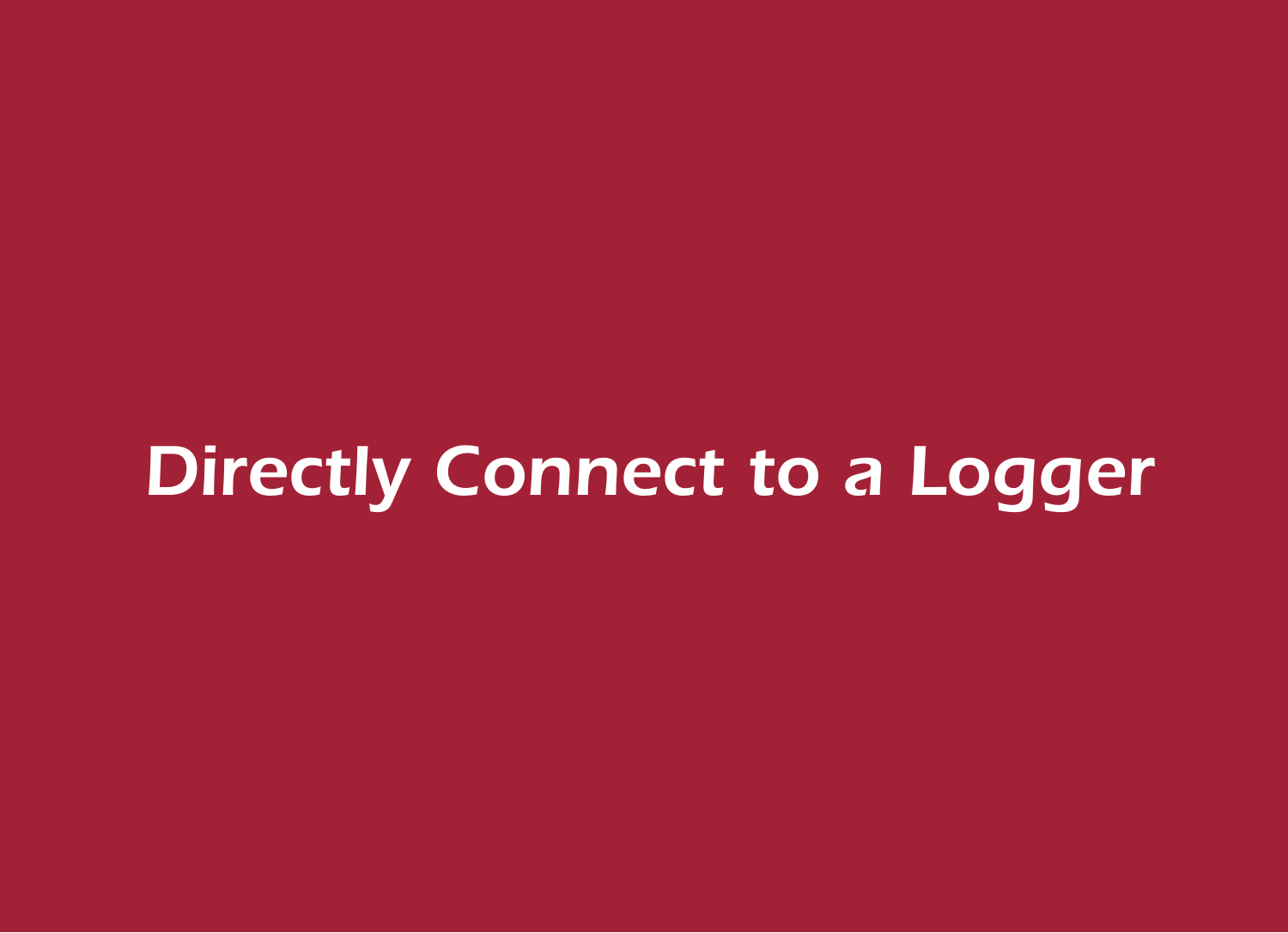## *Directly Connect to a Logger*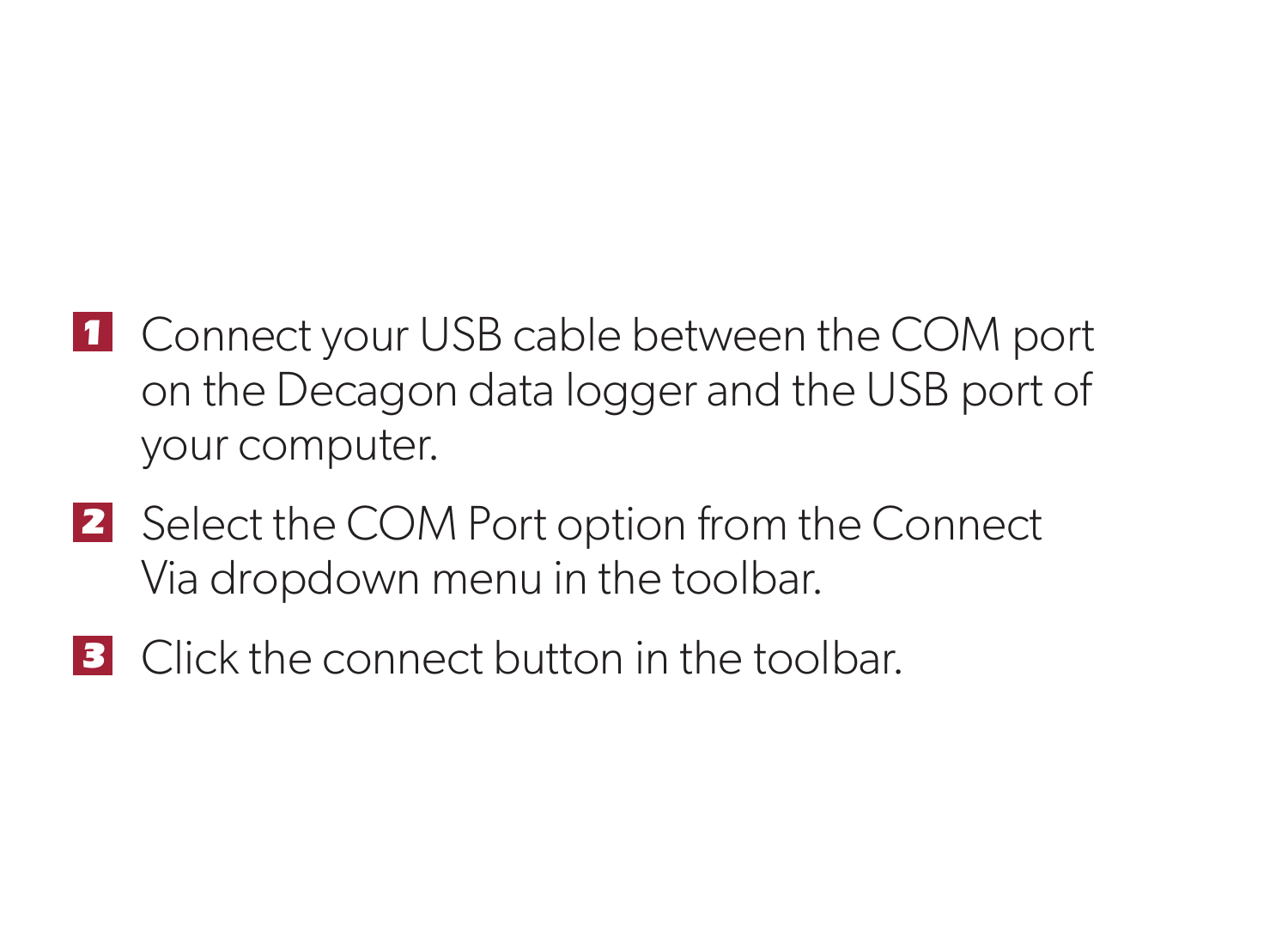- *1* Connect your USB cable between the COM port on the Decagon data logger and the USB port of your computer.
- **2** Select the COM Port option from the Connect Via dropdown menu in the toolbar.
- **3** Click the connect button in the toolbar.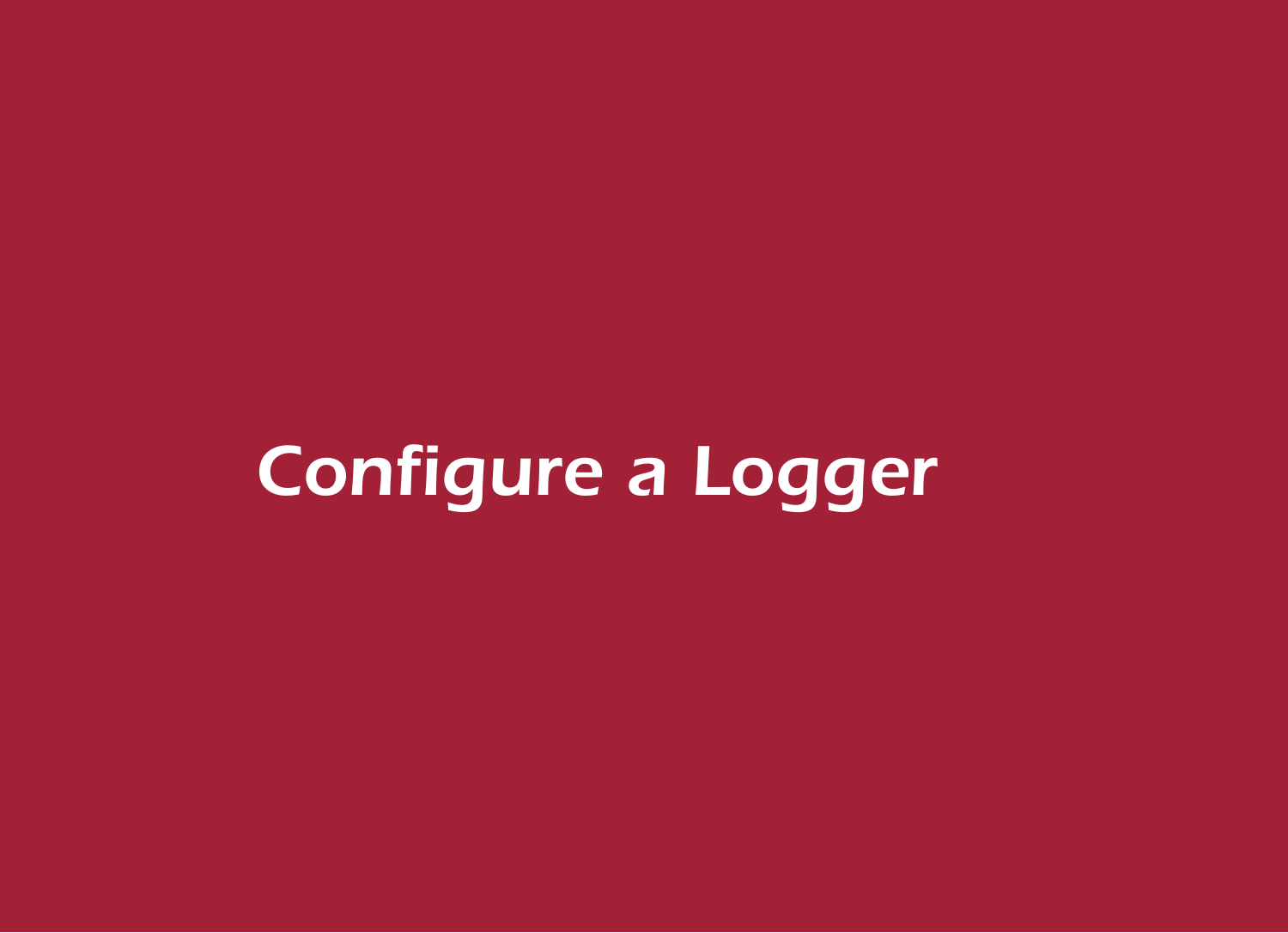# Configure a Logger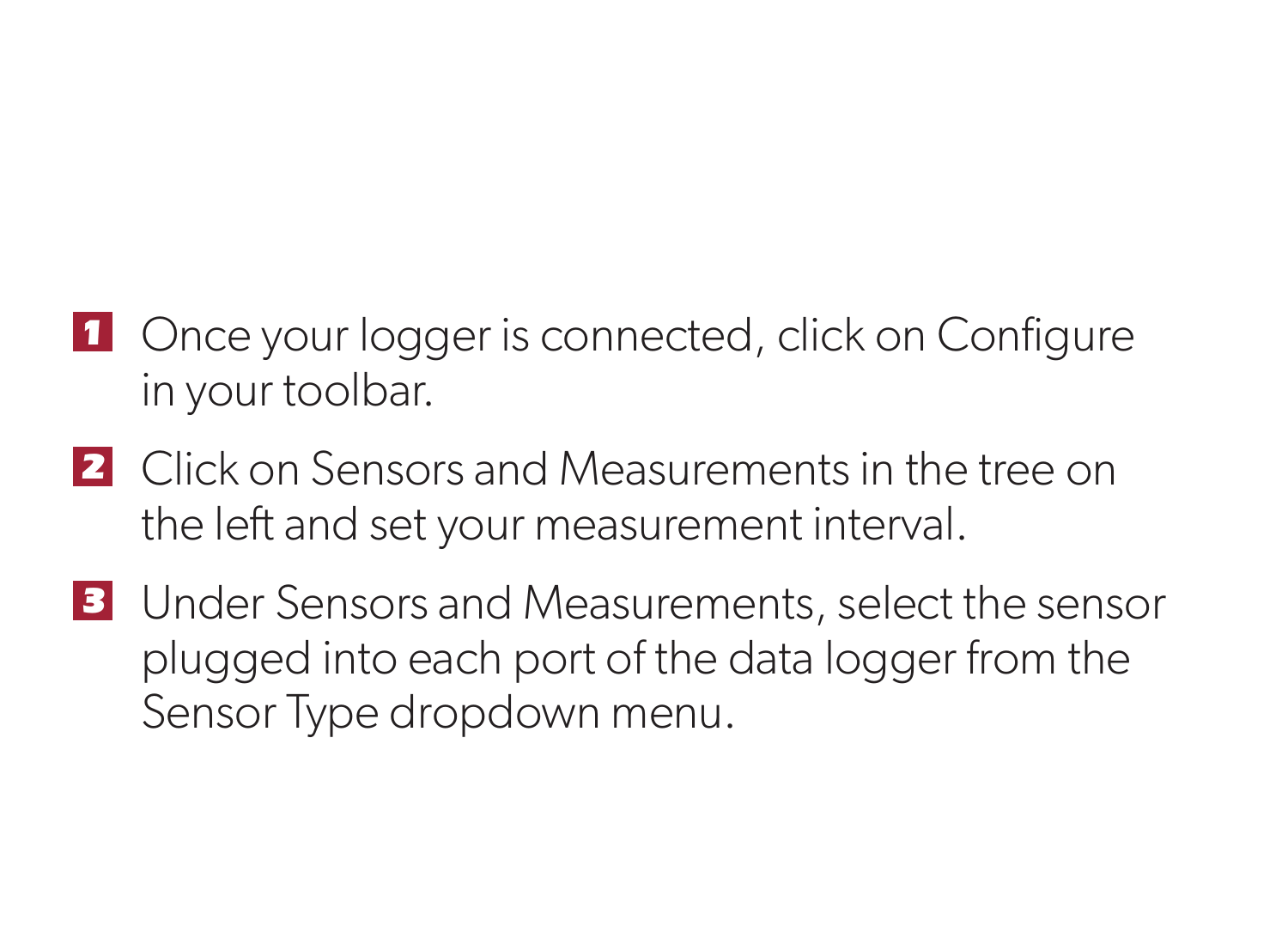- **1** Once your logger is connected, click on Configure in your toolbar.
- **2** Click on Sensors and Measurements in the tree on the left and set your measurement interval.
- *3* Under Sensors and Measurements, select the sensor plugged into each port of the data logger from the Sensor Type dropdown menu.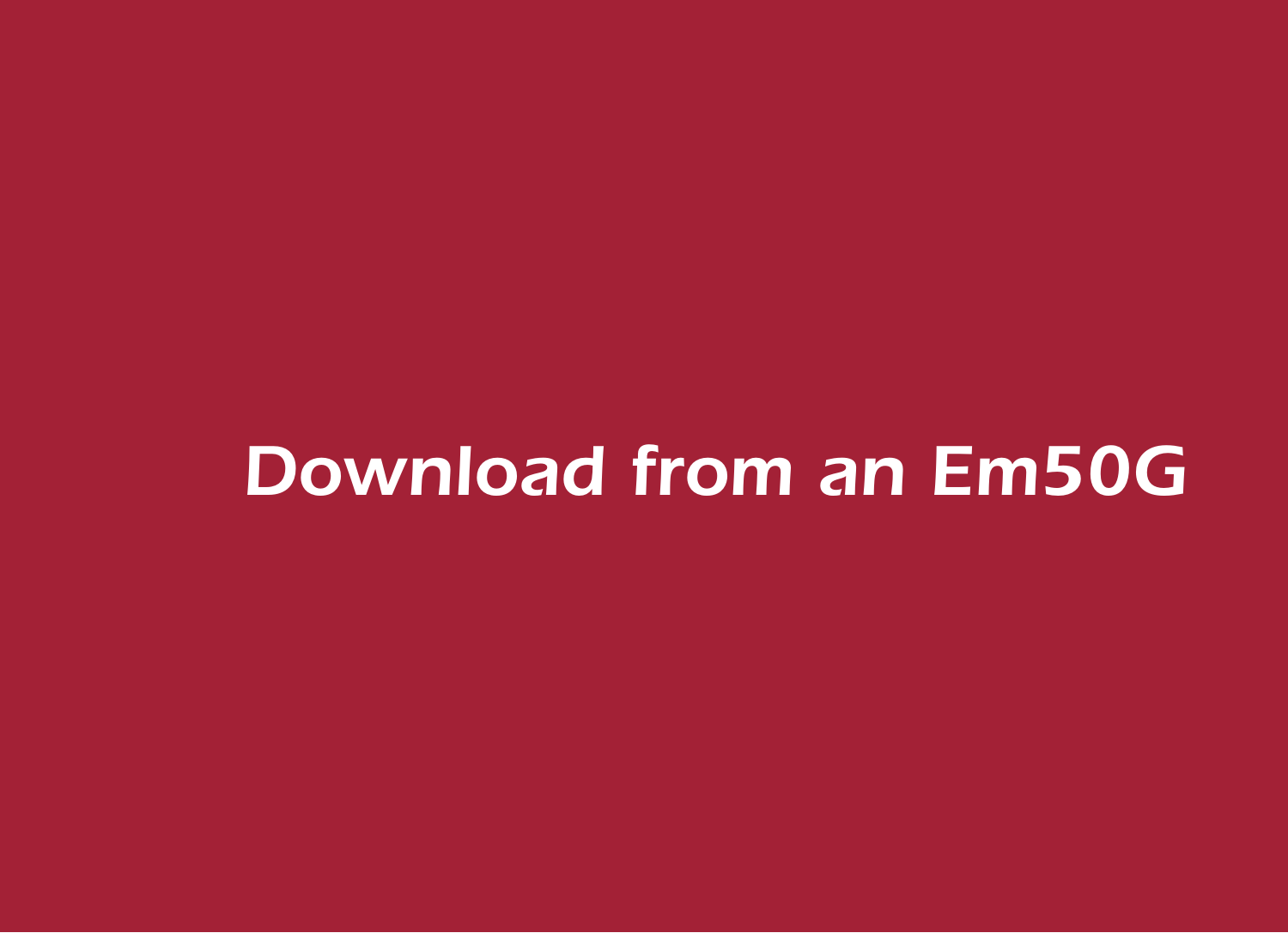## Download from an Em50G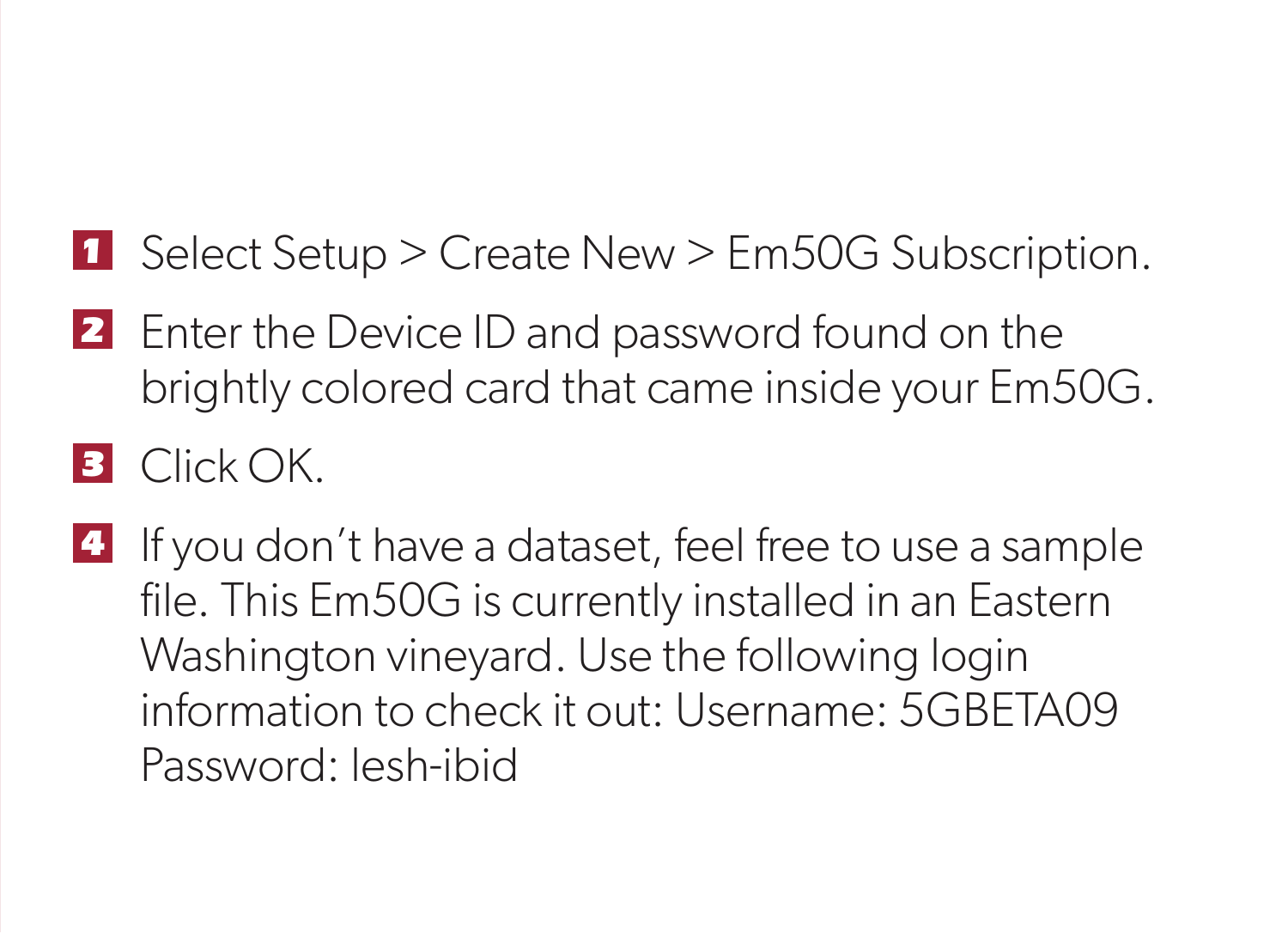- *1* Select Setup > Create New > Em50G Subscription.
- **2** Enter the Device ID and password found on the brightly colored card that came inside your Em50G.
- *3* Click OK.
- *4* If you don't have a dataset, feel free to use a sample file. This Em50G is currently installed in an Eastern Washington vineyard. Use the following login information to check it out: Username: 5GBETA09 Password: lesh-ibid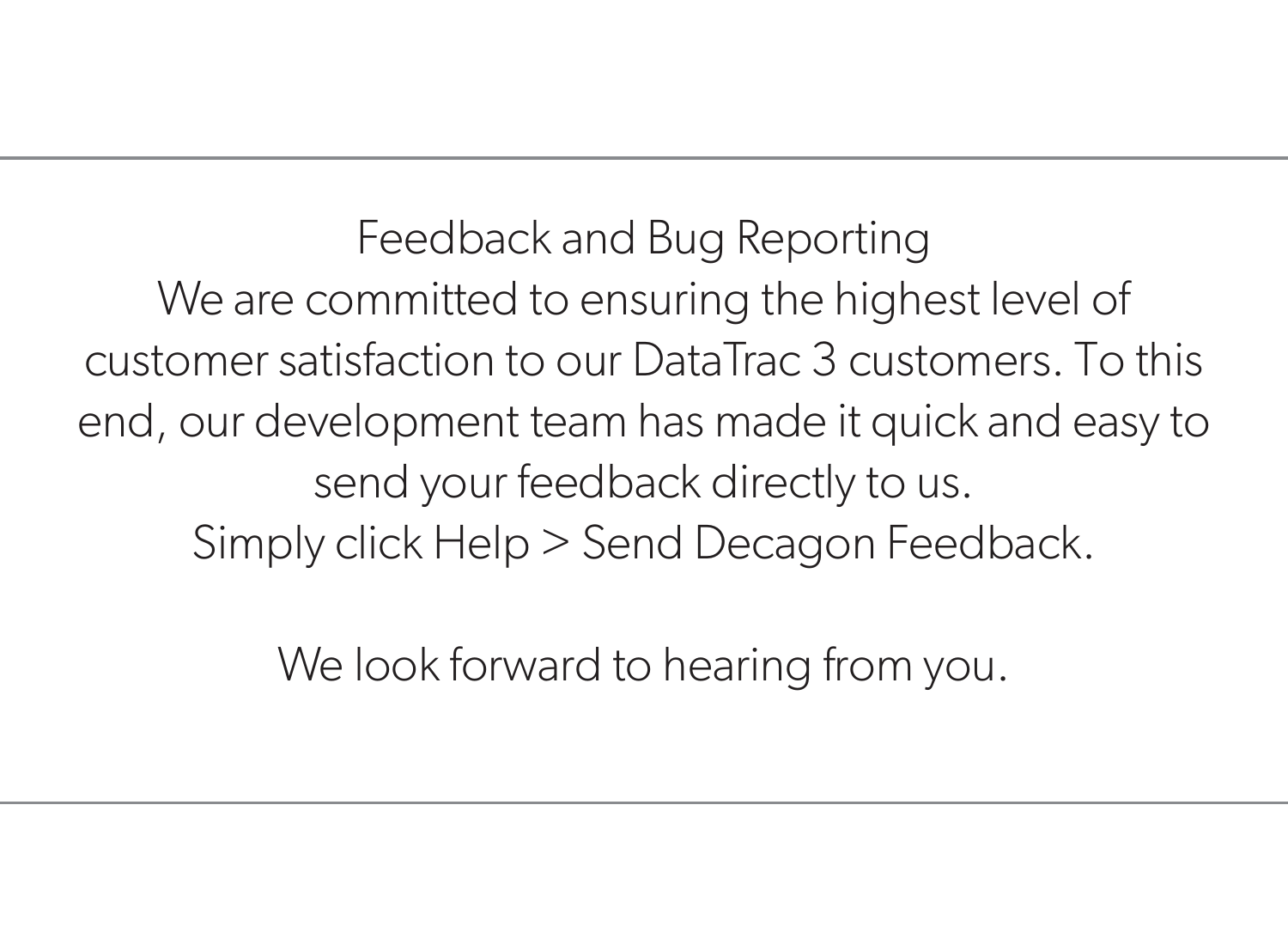Feedback and Bug Reporting We are committed to ensuring the highest level of customer satisfaction to our DataTrac 3 customers. To this end, our development team has made it quick and easy to send your feedback directly to us. Simply click Help > Send Decagon Feedback.

We look forward to hearing from you.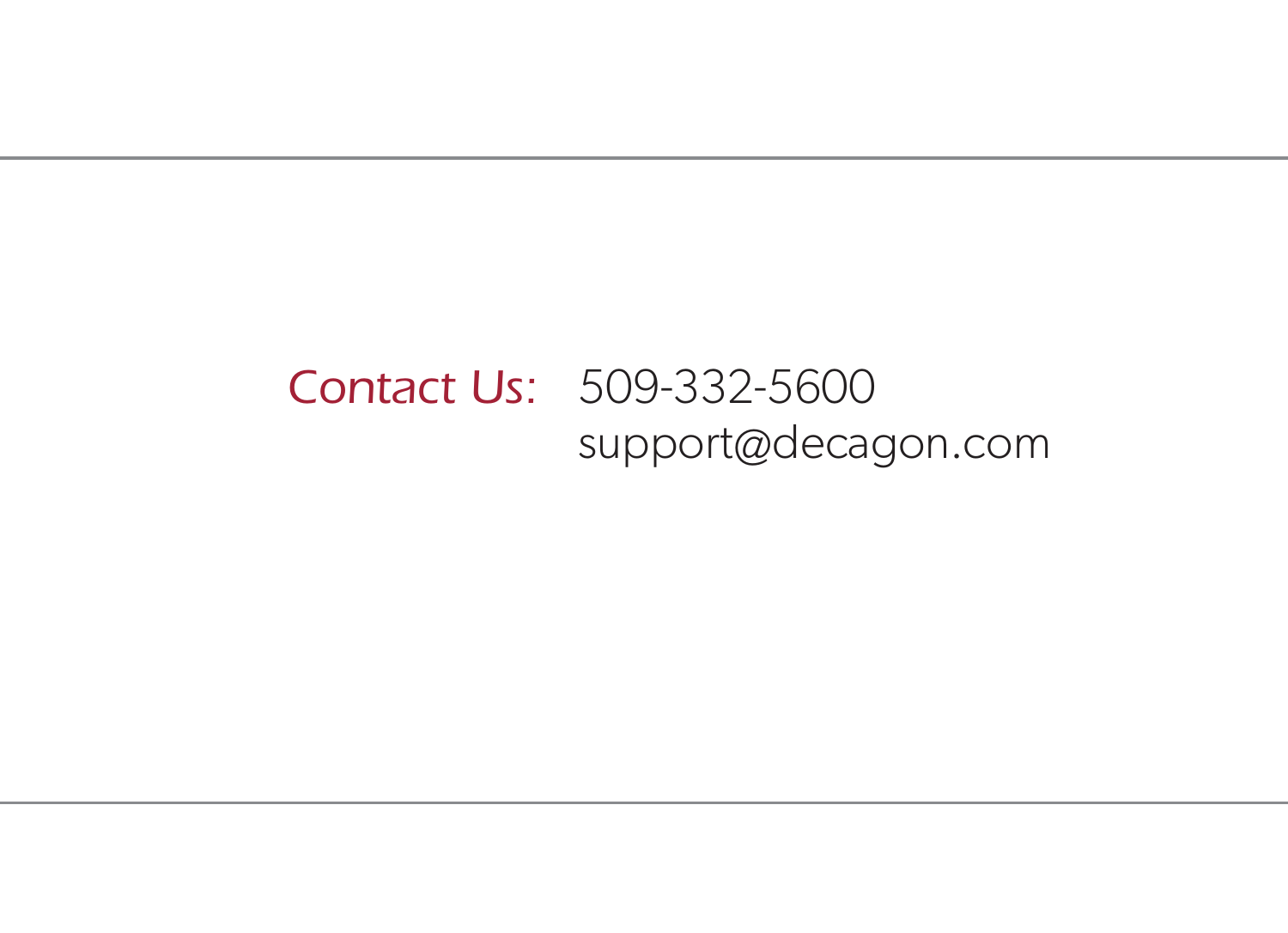### *Contact Us:* 509-332-5600 support@decagon.com